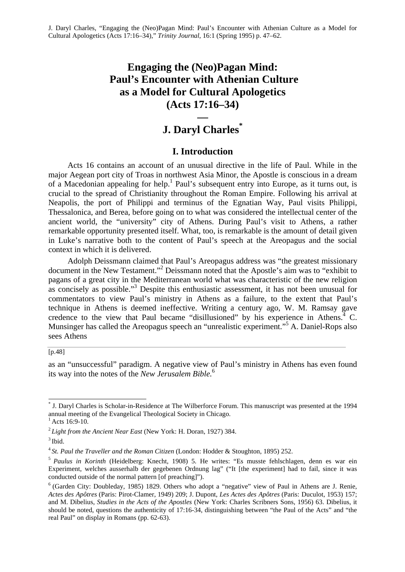# **Engaging the (Neo)Pagan Mind: Paul's Encounter with Athenian Culture as a Model for Cultural Apologetics (Acts 17:16–34)**

## **— J. Daryl Charles\***

### **I. Introduction**

Acts 16 contains an account of an unusual directive in the life of Paul. While in the major Aegean port city of Troas in northwest Asia Minor, the Apostle is conscious in a dream of a Macedonian appealing for help.<sup>1</sup> Paul's subsequent entry into Europe, as it turns out, is crucial to the spread of Christianity throughout the Roman Empire. Following his arrival at Neapolis, the port of Philippi and terminus of the Egnatian Way, Paul visits Philippi, Thessalonica, and Berea, before going on to what was considered the intellectual center of the ancient world, the "university" city of Athens. During Paul's visit to Athens, a rather remarkable opportunity presented itself. What, too, is remarkable is the amount of detail given in Luke's narrative both to the content of Paul's speech at the Areopagus and the social context in which it is delivered.

Adolph Deissmann claimed that Paul's Areopagus address was "the greatest missionary document in the New Testament."<sup>2</sup> Deissmann noted that the Apostle's aim was to "exhibit to pagans of a great city in the Mediterranean world what was characteristic of the new religion as concisely as possible."<sup>3</sup> Despite this enthusiastic assessment, it has not been unusual for commentators to view Paul's ministry in Athens as a failure, to the extent that Paul's technique in Athens is deemed ineffective. Writing a century ago, W. M. Ramsay gave credence to the view that Paul became "disillusioned" by his experience in Athens. $4\,$  C. Munsinger has called the Areopagus speech an "unrealistic experiment."<sup>5</sup> A. Daniel-Rops also sees Athens

#### [p.48]

as an "unsuccessful" paradigm. A negative view of Paul's ministry in Athens has even found its way into the notes of the *New Jerusalem Bible.*<sup>6</sup>

<sup>\*</sup> J. Daryl Charles is Scholar-in-Residence at The Wilberforce Forum. This manuscript was presented at the 1994 annual meeting of the Evangelical Theological Society in Chicago.

 $^{1}$  Acts 16:9-10.

<sup>2</sup>*Light from the Ancient Near East* (New York: H. Doran, 1927) 384.

 $3$  Ibid.

<sup>4</sup>*St. Paul the Traveller and the Roman Citizen* (London: Hodder & Stoughton, 1895) 252.

<sup>5</sup>*Paulus in Korinth* (Heidelberg: Knecht, 1908) 5. He writes: "Es musste fehlschlagen, denn es war ein Experiment, welches ausserhalb der gegebenen Ordnung lag" ("It [the experiment] had to fail, since it was conducted outside of the normal pattern [of preaching]").

 $6$  (Garden City: Doubleday, 1985) 1829. Others who adopt a "negative" view of Paul in Athens are J. Renie, *Actes des Apôtres* (Paris: Pirot-Clamer, 1949) 209; J. Dupont, *Les Actes des Apôtres* (Paris: Duculot, 1953) 157; and M. Dibelius, *Studies in the Acts of the Apostles* (New York: Charles Scribners Sons, 1956) 63. Dibelius, it should be noted, questions the authenticity of 17:16-34, distinguishing between "the Paul of the Acts" and "the real Paul" on display in Romans (pp. 62-63).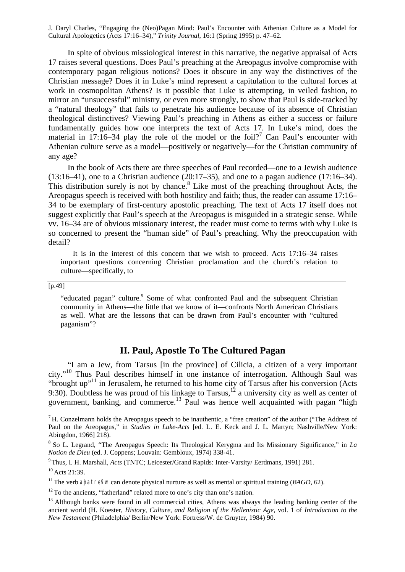In spite of obvious missiological interest in this narrative, the negative appraisal of Acts 17 raises several questions. Does Paul's preaching at the Areopagus involve compromise with contemporary pagan religious notions? Does it obscure in any way the distinctives of the Christian message? Does it in Luke's mind represent a capitulation to the cultural forces at work in cosmopolitan Athens? Is it possible that Luke is attempting, in veiled fashion, to mirror an "unsuccessful" ministry, or even more strongly, to show that Paul is side-tracked by a "natural theology" that fails to penetrate his audience because of its absence of Christian theological distinctives? Viewing Paul's preaching in Athens as either a success or failure fundamentally guides how one interprets the text of Acts 17. In Luke's mind, does the material in 17:16–34 play the role of the model or the foil?<sup>7</sup> Can Paul's encounter with Athenian culture serve as a model—positively or negatively—for the Christian community of any age?

In the book of Acts there are three speeches of Paul recorded—one to a Jewish audience (13:16–41), one to a Christian audience (20:17–35), and one to a pagan audience (17:16–34). This distribution surely is not by chance. $8$  Like most of the preaching throughout Acts, the Areopagus speech is received with both hostility and faith; thus, the reader can assume 17:16– 34 to be exemplary of first-century apostolic preaching. The text of Acts 17 itself does not suggest explicitly that Paul's speech at the Areopagus is misguided in a strategic sense. While vv. 16–34 are of obvious missionary interest, the reader must come to terms with why Luke is so concerned to present the "human side" of Paul's preaching. Why the preoccupation with detail?

It is in the interest of this concern that we wish to proceed. Acts 17:16–34 raises important questions concerning Christian proclamation and the church's relation to culture—specifically, to

[p.49]

"educated pagan" culture.<sup>9</sup> Some of what confronted Paul and the subsequent Christian community in Athens—the little that we know of it—confronts North American Christians as well. What are the lessons that can be drawn from Paul's encounter with "cultured paganism"?

### **II. Paul, Apostle To The Cultured Pagan**

"I am a Jew, from Tarsus [in the province] of Cilicia, a citizen of a very important city."<sup>10</sup> Thus Paul describes himself in one instance of interrogation. Although Saul was "brought up"<sup>11</sup> in Jerusalem, he returned to his home city of Tarsus after his conversion (Acts 9:30). Doubtless he was proud of his linkage to Tarsus,<sup>12</sup> a university city as well as center of government, banking, and commerce.<sup>13</sup> Paul was hence well acquainted with pagan "high

 $<sup>7</sup>$  H. Conzelmann holds the Areopagus speech to be inauthentic, a "free creation" of the author ("The Address of</sup> Paul on the Areopagus," in *Studies in Luke-Acts* [ed. L. E. Keck and J. L. Martyn; Nashville/New York: Abingdon, 1966] 218).

<sup>8</sup>So L. Legrand, "The Areopagus Speech: Its Theological Kerygma and Its Missionary Significance," in *La Notion de Dieu* (ed. J. Coppens; Louvain: Gembloux, 1974) 338-41.

<sup>9</sup>Thus, I. H. Marshall, *Acts* (TNTC; Leicester/Grand Rapids: Inter-Varsity/ Eerdmans, 1991) 281.

<sup>10</sup> Acts 21:39.

<sup>&</sup>lt;sup>11</sup> The verb and treffw can denote physical nurture as well as mental or spiritual training (*BAGD*, 62).

 $12$ <sup>12</sup> To the ancients, "fatherland" related more to one's city than one's nation.

 $13$  Although banks were found in all commercial cities. Athens was always the leading banking center of the ancient world (H. Koester, *History, Culture, and Religion of the Hellenistic Age,* vol. 1 of *Introduction to the New Testament* (Philadelphia/ Berlin/New York: Fortress/W. de Gruyter, 1984) 90.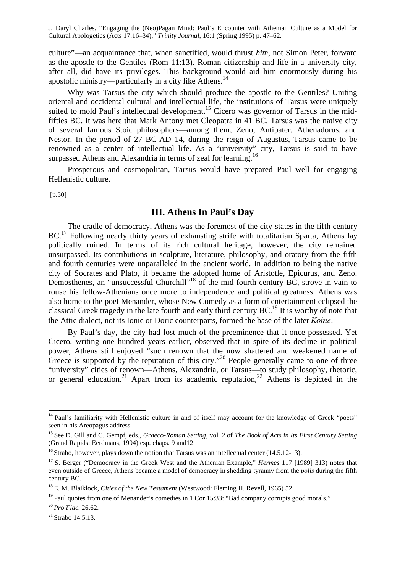culture"—an acquaintance that, when sanctified, would thrust *him,* not Simon Peter, forward as the apostle to the Gentiles (Rom 11:13). Roman citizenship and life in a university city, after all, did have its privileges. This background would aid him enormously during his apostolic ministry—particularly in a city like Athens.<sup>14</sup>

Why was Tarsus the city which should produce the apostle to the Gentiles? Uniting oriental and occidental cultural and intellectual life, the institutions of Tarsus were uniquely suited to mold Paul's intellectual development.<sup>15</sup> Cicero was governor of Tarsus in the midfifties BC. It was here that Mark Antony met Cleopatra in 41 BC. Tarsus was the native city of several famous Stoic philosophers—among them, Zeno, Antipater, Athenadorus, and Nestor. In the period of 27 BC-AD 14, during the reign of Augustus, Tarsus came to be renowned as a center of intellectual life. As a "university" city, Tarsus is said to have surpassed Athens and Alexandria in terms of zeal for learning.<sup>16</sup>

Prosperous and cosmopolitan, Tarsus would have prepared Paul well for engaging Hellenistic culture.

 $[p.50]$ 

### **III. Athens In Paul's Day**

The cradle of democracy, Athens was the foremost of the city-states in the fifth century BC.<sup>17</sup> Following nearly thirty years of exhausting strife with totalitarian Sparta, Athens lay politically ruined. In terms of its rich cultural heritage, however, the city remained unsurpassed. Its contributions in sculpture, literature, philosophy, and oratory from the fifth and fourth centuries were unparalleled in the ancient world. In addition to being the native city of Socrates and Plato, it became the adopted home of Aristotle, Epicurus, and Zeno. Demosthenes, an "unsuccessful Churchill"<sup>18</sup> of the mid-fourth century BC, strove in vain to rouse his fellow-Athenians once more to independence and political greatness. Athens was also home to the poet Menander, whose New Comedy as a form of entertainment eclipsed the classical Greek tragedy in the late fourth and early third century BC.<sup>19</sup> It is worthy of note that the Attic dialect, not its Ionic or Doric counterparts, formed the base of the later Koine.

By Paul's day, the city had lost much of the preeminence that it once possessed. Yet Cicero, writing one hundred years earlier, observed that in spite of its decline in political power, Athens still enjoyed "such renown that the now shattered and weakened name of Greece is supported by the reputation of this city."<sup>20</sup> People generally came to one of three "university" cities of renown—Athens, Alexandria, or Tarsus—to study philosophy, rhetoric, or general education.<sup>21</sup> Apart from its academic reputation,<sup>22</sup> Athens is depicted in the

<sup>&</sup>lt;sup>14</sup> Paul's familiarity with Hellenistic culture in and of itself may account for the knowledge of Greek "poets" seen in his Areopagus address.

<sup>15</sup>See D. Gill and C. Gempf, eds., *Graeco-Roman Setting,* vol. 2 of *The Book of Acts in Its First Century Setting* (Grand Rapids: Eerdmans, 1994) esp. chaps. 9 and12.

<sup>&</sup>lt;sup>16</sup> Strabo, however, plays down the notion that Tarsus was an intellectual center (14.5.12-13).

<sup>&</sup>lt;sup>17</sup> S. Berger ("Democracy in the Greek West and the Athenian Example," *Hermes* 117 [1989] 313) notes that even outside of Greece, Athens became a model of democracy in shedding tyranny from the *polis* during the fifth century BC.

<sup>18</sup>E. M. Blaiklock, *Cities of the New Testament* (Westwood: Fleming H. Revell, 1965) 52.

 $19$  Paul quotes from one of Menander's comedies in 1 Cor 15:33: "Bad company corrupts good morals."

<sup>20</sup>*Pro Flac.* 26.62.

 $^{21}$  Strabo 14.5.13.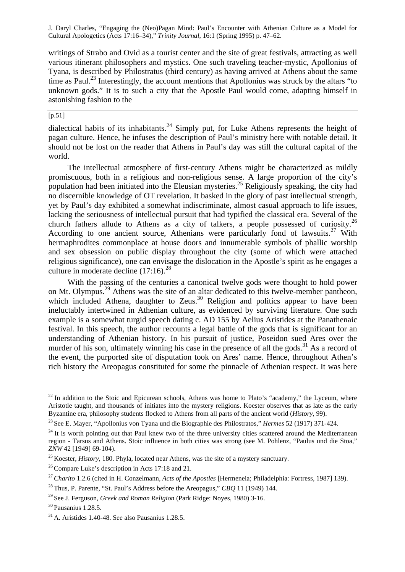writings of Strabo and Ovid as a tourist center and the site of great festivals, attracting as well various itinerant philosophers and mystics. One such traveling teacher-mystic, Apollonius of Tyana, is described by Philostratus (third century) as having arrived at Athens about the same time as Paul.<sup>23</sup> Interestingly, the account mentions that Apollonius was struck by the altars "to" unknown gods." It is to such a city that the Apostle Paul would come, adapting himself in astonishing fashion to the

### $[p.51]$

dialectical habits of its inhabitants.<sup>24</sup> Simply put, for Luke Athens represents the height of pagan culture. Hence, he infuses the description of Paul's ministry here with notable detail. It should not be lost on the reader that Athens in Paul's day was still the cultural capital of the world.

The intellectual atmosphere of first-century Athens might be characterized as mildly promiscuous, both in a religious and non-religious sense. A large proportion of the city's population had been initiated into the Eleusian mysteries.<sup>25</sup> Religiously speaking, the city had no discernible knowledge of OT revelation. It basked in the glory of past intellectual strength, yet by Paul's day exhibited a somewhat indiscriminate, almost casual approach to life issues, lacking the seriousness of intellectual pursuit that had typified the classical era. Several of the church fathers allude to Athens as a city of talkers, a people possessed of curiosity.<sup>26</sup> According to one ancient source, Athenians were particularly fond of lawsuits.<sup>27</sup> With hermaphrodites commonplace at house doors and innumerable symbols of phallic worship and sex obsession on public display throughout the city (some of which were attached religious significance), one can envisage the dislocation in the Apostle's spirit as he engages a culture in moderate decline  $(17:16)^{28}$ 

With the passing of the centuries a canonical twelve gods were thought to hold power on Mt. Olympus.<sup>29</sup> Athens was the site of an altar dedicated to this twelve-member pantheon, which included Athena, daughter to Zeus. $30$  Religion and politics appear to have been ineluctably intertwined in Athenian culture, as evidenced by surviving literature. One such example is a somewhat turgid speech dating c. AD 155 by Aelius Aristides at the Panathenaic festival. In this speech, the author recounts a legal battle of the gods that is significant for an understanding of Athenian history. In his pursuit of justice, Poseidon sued Ares over the murder of his son, ultimately winning his case in the presence of all the gods.<sup>31</sup> As a record of the event, the purported site of disputation took on Ares' name. Hence, throughout Athen's rich history the Areopagus constituted for some the pinnacle of Athenian respect. It was here

 $22$ In addition to the Stoic and Epicurean schools, Athens was home to Plato's "academy," the Lyceum, where Aristotle taught, and thousands of initiates into the mystery religions. Koester observes that as late as the early Byzantine era, philosophy students flocked to Athens from all parts of the ancient world (*History,* 99).

<sup>23</sup>See E. Mayer, "Apollonius von Tyana und die Biographie des Philostratos," *Hermes* 52 (1917) 371-424.

 $^{24}$  It is worth pointing out that Paul knew two of the three university cities scattered around the Mediterranean region - Tarsus and Athens. Stoic influence in both cities was strong (see M. Pohlenz, "Paulus und die Stoa," *ZNW* 42 [1949] 69-104).

<sup>&</sup>lt;sup>25</sup> Koester, *History*, 180. Phyla, located near Athens, was the site of a mystery sanctuary.

<sup>&</sup>lt;sup>26</sup> Compare Luke's description in Acts 17:18 and 21.

<sup>27</sup>*Charito* 1.2.6 (cited in H. Conzelmann, *Acts of the Apostles* [Hermeneia; Philadelphia: Fortress, 1987] 139).

<sup>28</sup>Thus, P. Parente, "St. Paul's Address before the Areopagus," *CBQ* 11 (1949) 144.

<sup>&</sup>lt;sup>29</sup> See J. Ferguson, *Greek and Roman Religion* (Park Ridge: Noves, 1980) 3-16.

 $30$  Pausanius 1.28.5.

 $31$  A. Aristides 1.40-48. See also Pausanius 1.28.5.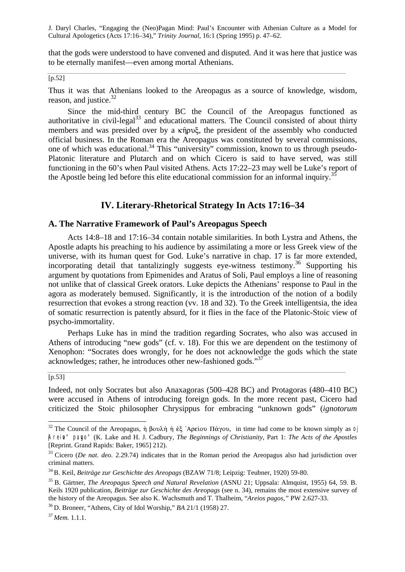that the gods were understood to have convened and disputed. And it was here that justice was to be eternally manifest—even among mortal Athenians.

[p.52]

Thus it was that Athenians looked to the Areopagus as a source of knowledge, wisdom, reason, and justice. $32$ 

Since the mid-third century BC the Council of the Areopagus functioned as authoritative in civil-legal $^{33}$  and educational matters. The Council consisted of about thirty members and was presided over by a  $\kappa$  $\hat{\eta}$  pv $\zeta$ , the president of the assembly who conducted official business. In the Roman era the Areopagus was constituted by several commissions, one of which was educational.<sup>34</sup> This "university" commission, known to us through pseudo-Platonic literature and Plutarch and on which Cicero is said to have served, was still functioning in the 60's when Paul visited Athens. Acts 17:22–23 may well be Luke's report of the Apostle being led before this elite educational commission for an informal inquiry.<sup>35</sup>

### **IV. Literary-Rhetorical Strategy In Acts 17:16–34**

### **A. The Narrative Framework of Paul's Areopagus Speech**

Acts 14:8–18 and 17:16–34 contain notable similarities. In both Lystra and Athens, the Apostle adapts his preaching to his audience by assimilating a more or less Greek view of the universe, with its human quest for God. Luke's narrative in chap. 17 is far more extended, incorporating detail that tantalizingly suggests eye-witness testimony.<sup>36</sup> Supporting his argument by quotations from Epimenides and Aratus of Soli, Paul employs a line of reasoning not unlike that of classical Greek orators. Luke depicts the Athenians' response to Paul in the agora as moderately bemused. Significantly, it is the introduction of the notion of a bodily resurrection that evokes a strong reaction (vv. 18 and 32). To the Greek intelligentsia, the idea of somatic resurrection is patently absurd, for it flies in the face of the Platonic-Stoic view of psycho-immortality.

Perhaps Luke has in mind the tradition regarding Socrates, who also was accused in Athens of introducing "new gods" (cf. v. 18). For this we are dependent on the testimony of Xenophon: "Socrates does wrongly, for he does not acknowledge the gods which the state acknowledges; rather, he introduces other new-fashioned gods."<sup>37</sup>

### $[p.53]$

l

Indeed, not only Socrates but also Anaxagoras (500–428 BC) and Protagoras (480–410 BC) were accused in Athens of introducing foreign gods. In the more recent past, Cicero had criticized the Stoic philosopher Chrysippus for embracing "unknown gods" (*ignotorum*

<sup>&</sup>lt;sup>32</sup> The Council of the Areopagus, ή βουλή ή ἐξ 'Αρείου Πάγου, in time had come to be known simply as 0 jAreivo" pavgo" (K. Lake and H. J. Cadbury, *The Beginnings of Christianity,* Part 1: *The Acts of the Apostles* [Reprint. Grand Rapids: Baker, 1965] 212).

<sup>&</sup>lt;sup>33</sup> Cicero (*De nat. deo.* 2.29.74) indicates that in the Roman period the Areopagus also had jurisdiction over criminal matters.

<sup>34</sup>B. Keil, *Beiträge zur Geschichte des Areopags* (BZAW 71/8; Leipzig: Teubner, 1920) 59-80.

<sup>35</sup>B. Gärtner, *The Areopagus Speech and Natural Revelation* (ASNU 21; Uppsala: Almquist, 1955) 64, 59. B. Keils 1920 publication, *Beiträge zur Geschichte des Areopags* (see n. 34), remains the most extensive survey of the history of the Areopagus. See also K. Wachsmuth and T. Thalheim, "*Areios pagos,"* PW 2.627-33.

<sup>36</sup>D. Broneer, "Athens, City of Idol Worship," *BA* 21/1 (1958) 27.

<sup>37</sup>*Mem.* 1.1.1.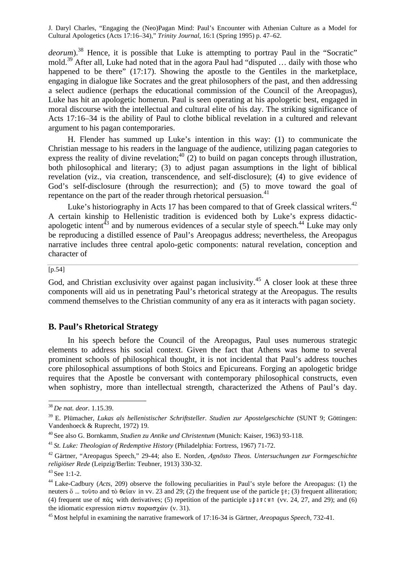deorum).<sup>38</sup> Hence, it is possible that Luke is attempting to portray Paul in the "Socratic" mold.<sup>39</sup> After all, Luke had noted that in the agora Paul had "disputed ... daily with those who happened to be there" (17:17). Showing the apostle to the Gentiles in the marketplace, engaging in dialogue like Socrates and the great philosophers of the past, and then addressing a select audience (perhaps the educational commission of the Council of the Areopagus), Luke has hit an apologetic homerun. Paul is seen operating at his apologetic best, engaged in moral discourse with the intellectual and cultural elite of his day. The striking significance of Acts 17:16–34 is the ability of Paul to clothe biblical revelation in a cultured and relevant argument to his pagan contemporaries.

H. Flender has summed up Luke's intention in this way: (1) to communicate the Christian message to his readers in the language of the audience, utilizing pagan categories to express the reality of divine revelation;<sup>40</sup> (2) to build on pagan concepts through illustration, both philosophical and literary; (3) to adjust pagan assumptions in the light of biblical revelation (viz., via creation, transcendence, and self-disclosure); (4) to give evidence of God's self-disclosure (through the resurrection); and (5) to move toward the goal of repentance on the part of the reader through rhetorical persuasion.<sup>41</sup>

Luke's historiography in Acts 17 has been compared to that of Greek classical writers.<sup>42</sup> A certain kinship to Hellenistic tradition is evidenced both by Luke's express didacticapologetic intent<sup> $43$ </sup> and by numerous evidences of a secular style of speech.<sup>44</sup> Luke may only be reproducing a distilled essence of Paul's Areopagus address; nevertheless, the Areopagus narrative includes three central apolo-getic components: natural revelation, conception and character of

#### [p.54]

God, and Christian exclusivity over against pagan inclusivity.<sup>45</sup> A closer look at these three components will aid us in penetrating Paul's rhetorical strategy at the Areopagus. The results commend themselves to the Christian community of any era as it interacts with pagan society.

### **B. Paul's Rhetorical Strategy**

In his speech before the Council of the Areopagus, Paul uses numerous strategic elements to address his social context. Given the fact that Athens was home to several prominent schools of philosophical thought, it is not incidental that Paul's address touches core philosophical assumptions of both Stoics and Epicureans. Forging an apologetic bridge requires that the Apostle be conversant with contemporary philosophical constructs, even when sophistry, more than intellectual strength, characterized the Athens of Paul's day.

<sup>38</sup>*De nat. deor.* 1.15.39.

<sup>39</sup>E. Plümacher, *Lukas als hellenistischer Schriftsteller. Studien zur Apostelgeschichte* (SUNT 9; Göttingen: Vandenhoeck & Ruprecht, 1972) 19.

<sup>40</sup>See also G. Bornkamm, *Studien zu Antike und Christentum* (Munich: Kaiser, 1963) 93-118.

<sup>41</sup>*St. Luke: Theologian of Redemptive History* (Philadelphia: Fortress, 1967) 71-72.

<sup>&</sup>lt;sup>42</sup> Gärtner, "Areopagus Speech," 29-44; also E. Norden, Agnosto Theos. Untersuchungen zur Formgeschichte *religiöser Rede* (Leipzig/Berlin: Teubner, 1913) 330-32.

<sup>&</sup>lt;sup>43</sup> See 1:1-2.

<sup>44</sup>Lake-Cadbury (*Acts,* 209) observe the following peculiarities in Paul's style before the Areopagus: (1) the neuters  $\ddot{\text{o}}$  ...  $\tau$   $\ddot{\text{o}}$   $\ddot{\text{o}}$  and  $\tau$  $\dot{\text{o}}$   $\theta \epsilon \hat{\text{o}}$  and  $\dot{\text{o}}$  and  $29$ ; (2) the frequent use of the particle ge; (3) frequent alliteration; (4) frequent use of  $\pi \hat{\alpha} \xi$  with derivatives; (5) repetition of the participle uparcwn (vv. 24, 27, and 29); and (6) the idiomatic expression πίστιν παρασχών (v. 31).

<sup>45</sup>Most helpful in examining the narrative framework of 17:16-34 is Gärtner, *Areopagus Speech,* 732-41.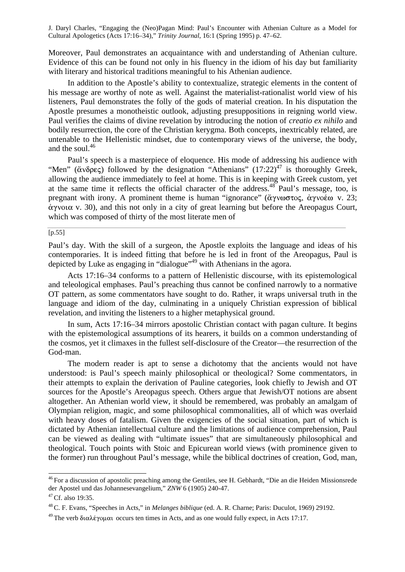Moreover, Paul demonstrates an acquaintance with and understanding of Athenian culture. Evidence of this can be found not only in his fluency in the idiom of his day but familiarity with literary and historical traditions meaningful to his Athenian audience.

In addition to the Apostle's ability to contextualize, strategic elements in the content of his message are worthy of note as well. Against the materialist-rationalist world view of his listeners, Paul demonstrates the folly of the gods of material creation. In his disputation the Apostle presumes a monotheistic outlook, adjusting presuppositions in reigning world view. Paul verifies the claims of divine revelation by introducing the notion of *creatio ex nihilo* and bodily resurrection, the core of the Christian kerygma. Both concepts, inextricably related, are untenable to the Hellenistic mindset, due to contemporary views of the universe, the body, and the soul.<sup>46</sup>

Paul's speech is a masterpiece of eloquence. His mode of addressing his audience with "Men" ( $\alpha$ νδρες) followed by the designation "Athenians" (17:22)<sup>47</sup> is thoroughly Greek, allowing the audience immediately to feel at home. This is in keeping with Greek custom, yet at the same time it reflects the official character of the address.<sup>48</sup> Paul's message, too, is pregnant with irony. A prominent theme is human "ignorance" ( $\alpha$ yvωστος,  $\alpha$ yvoέω v. 23;  $\dot{\alpha}$ γνοια v. 30), and this not only in a city of great learning but before the Areopagus Court, which was composed of thirty of the most literate men of

#### [p.55]

Paul's day. With the skill of a surgeon, the Apostle exploits the language and ideas of his contemporaries. It is indeed fitting that before he is led in front of the Areopagus, Paul is depicted by Luke as engaging in "dialogue"<sup>49</sup> with Athenians in the agora.

Acts 17:16–34 conforms to a pattern of Hellenistic discourse, with its epistemological and teleological emphases. Paul's preaching thus cannot be confined narrowly to a normative OT pattern, as some commentators have sought to do. Rather, it wraps universal truth in the language and idiom of the day, culminating in a uniquely Christian expression of biblical revelation, and inviting the listeners to a higher metaphysical ground.

In sum, Acts 17:16–34 mirrors apostolic Christian contact with pagan culture. It begins with the epistemological assumptions of its hearers, it builds on a common understanding of the cosmos, yet it climaxes in the fullest self-disclosure of the Creator—the resurrection of the God-man.

The modern reader is apt to sense a dichotomy that the ancients would not have understood: is Paul's speech mainly philosophical or theological? Some commentators, in their attempts to explain the derivation of Pauline categories, look chiefly to Jewish and OT sources for the Apostle's Areopagus speech. Others argue that Jewish/OT notions are absent altogether. An Athenian world view, it should be remembered, was probably an amalgam of Olympian religion, magic, and some philosophical commonalities, all of which was overlaid with heavy doses of fatalism. Given the exigencies of the social situation, part of which is dictated by Athenian intellectual culture and the limitations of audience comprehension, Paul can be viewed as dealing with "ultimate issues" that are simultaneously philosophical and theological. Touch points with Stoic and Epicurean world views (with prominence given to the former) run throughout Paul's message, while the biblical doctrines of creation, God, man,

<sup>&</sup>lt;sup>46</sup> For a discussion of apostolic preaching among the Gentiles, see H. Gebhardt, "Die an die Heiden Missionsrede der Apostel und das Johannesevangelium," *ZNW* 6 (1905) 240-47.

<sup>&</sup>lt;sup>47</sup> Cf. also 19:35.

<sup>48</sup>C. F. Evans, "Speeches in Acts," in *Melanges biblique* (ed. A. R. Charne; Paris: Duculot, 1969) 29192.

<sup>&</sup>lt;sup>49</sup>The verb διαλέγομαι occurs ten times in Acts, and as one would fully expect, in Acts 17:17.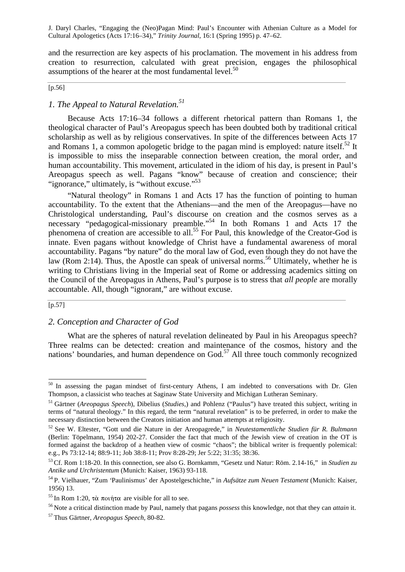and the resurrection are key aspects of his proclamation. The movement in his address from creation to resurrection, calculated with great precision, engages the philosophical assumptions of the hearer at the most fundamental level. $50$ 

### $[p.56]$

## *1. The Appeal to Natural Revelation.<sup>51</sup>*

Because Acts 17:16–34 follows a different rhetorical pattern than Romans 1, the theological character of Paul's Areopagus speech has been doubted both by traditional critical scholarship as well as by religious conservatives. In spite of the differences between Acts 17 and Romans 1, a common apologetic bridge to the pagan mind is employed: nature itself.<sup>52</sup> It is impossible to miss the inseparable connection between creation, the moral order, and human accountability. This movement, articulated in the idiom of his day, is present in Paul's Areopagus speech as well. Pagans "know" because of creation and conscience; their "ignorance," ultimately, is "without excuse."<sup>53</sup>

"Natural theology" in Romans 1 and Acts 17 has the function of pointing to human accountability. To the extent that the Athenians—and the men of the Areopagus—have no Christological understanding, Paul's discourse on creation and the cosmos serves as a necessary "pedagogical-missionary preamble."<sup>54</sup> In both Romans 1 and Acts 17 the phenomena of creation are accessible to all.<sup>55</sup> For Paul, this knowledge of the Creator-God is innate. Even pagans without knowledge of Christ have a fundamental awareness of moral accountability. Pagans "by nature" do the moral law of God, even though they do not have the law (Rom 2:14). Thus, the Apostle can speak of universal norms.<sup>56</sup> Ultimately, whether he is writing to Christians living in the Imperial seat of Rome or addressing academics sitting on the Council of the Areopagus in Athens, Paul's purpose is to stress that *all people* are morally accountable. All, though "ignorant," are without excuse.

#### [p.57]

l

### *2. Conception and Character of God*

What are the spheres of natural revelation delineated by Paul in his Areopagus speech? Three realms can be detected: creation and maintenance of the cosmos, history and the nations' boundaries, and human dependence on  $God.^{57}$  All three touch commonly recognized

 $50$  In assessing the pagan mindset of first-century Athens, I am indebted to conversations with Dr. Glen Thompson, a classicist who teaches at Saginaw State University and Michigan Lutheran Seminary.

<sup>51</sup> Gärtner (*Areopagus Speech*), Dibelius (*Studies,*) and Pohlenz ("Paulus") have treated this subject, writing in terms of "natural theology." In this regard, the term "natural revelation" is to be preferred, in order to make the necessary distinction between the Creators initiation and human attempts at religiosity.

<sup>52</sup>See W. Eltester, "Gott und die Nature in der Areopagrede," in *Neutestamentliche Studien für R. Bultmann* (Berlin: Töpelmann, 1954) 202-27. Consider the fact that much of the Jewish view of creation in the OT is formed against the backdrop of a heathen view of cosmic "chaos"; the biblical writer is frequently polemical: e.g., Ps 73:12-14; 88:9-11; Job 38:8-11; Prov 8:28-29; Jer 5:22; 31:35; 38:36.

<sup>53</sup>Cf. Rom 1:18-20. In this connection, see also G. Bornkamm, "Gesetz und Natur: Röm. 2.14-16," in *Studien zu Antike und Urchristentum* (Munich: Kaiser, 1963) 93-118.

<sup>54</sup>P. Vielhauer, "Zum 'Paulinismus' der Apostelgeschichte," in *Aufsätze zum Neuen Testament* (Munich: Kaiser, 1956) 13.

<sup>&</sup>lt;sup>55</sup> In Rom 1:20, τὰ ποιήτα are visible for all to see.

<sup>56</sup>Note a critical distinction made by Paul, namely that pagans *possess* this knowledge, not that they can *attain* it.

<sup>57</sup>Thus Gärtner, *Areopagus Speech,* 80-82.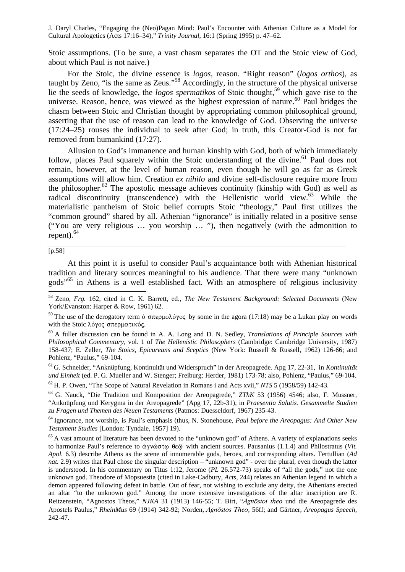Stoic assumptions. (To be sure, a vast chasm separates the OT and the Stoic view of God, about which Paul is not naive.)

For the Stoic, the divine essence is *logos,* reason. "Right reason" (*logos orthos*), as taught by Zeno, "is the same as Zeus."<sup>58</sup> Accordingly, in the structure of the physical universe lie the seeds of knowledge, the *logos spermatikos* of Stoic thought,<sup>59</sup> which gave rise to the universe. Reason, hence, was viewed as the highest expression of nature.<sup>60</sup> Paul bridges the chasm between Stoic and Christian thought by appropriating common philosophical ground, asserting that the use of reason can lead to the knowledge of God. Observing the universe (17:24–25) rouses the individual to seek after God; in truth, this Creator-God is not far removed from humankind (17:27).

Allusion to God's immanence and human kinship with God, both of which immediately follow, places Paul squarely within the Stoic understanding of the divine.<sup>61</sup> Paul does not remain, however, at the level of human reason, even though he will go as far as Greek assumptions will allow him. Creation *ex nihilo* and divine self-disclosure require more from the philosopher.<sup>62</sup> The apostolic message achieves continuity (kinship with  $\overline{G}$  od) as well as radical discontinuity (transcendence) with the Hellenistic world view.<sup>63</sup> While the materialistic pantheism of Stoic belief corrupts Stoic "theology," Paul first utilizes the "common ground" shared by all. Athenian "ignorance" is initially related in a positive sense ("You are very religious … you worship … "), then negatively (with the admonition to repent). $64$ 

[p.58]

l

At this point it is useful to consider Paul's acquaintance both with Athenian historical tradition and literary sources meaningful to his audience. That there were many "unknown gods"<sup>65</sup> in Athens is a well established fact. With an atmosphere of religious inclusivity

<sup>61</sup>G. Schneider, "Anknüpfung, Kontinuität und Widerspruch" in der Areopagrede. Apg 17, 22-31, in *Kontinuität und Einheit* (ed. P. G. Mueller and W. Stenger; Freiburg: Herder, 1981) 173-78; also, Pohlenz, "Paulus," 69-104.

<sup>62</sup>H. P. Owen, "The Scope of Natural Revelation in Romans i and Acts xvii," *NTS* 5 (1958/59) 142-43.

<sup>63</sup>G. Nauck, "Die Tradition und Komposition der Areopagrede," *ZThK* 53 (1956) 4546; also, F. Mussner, "Anknüpfung und Kerygma in der Areopagrede" (Apg 17, 22b-31), in *Praesentia Salutis. Gesammelte Studien zu Fragen und Themen des Neuen Testaments* (Patmos: Duesseldorf, 1967) 235-43.

<sup>64</sup>Ignorance, not worship, is Paul's emphasis (thus, N. Stonehouse, *Paul before the Areopagus: And Other New Testament Studies* [London: Tyndale, 1957] 19).

<sup>58</sup>Zeno, *Frg.* 162, cited in C. K. Barrett, ed., *The New Testament Background: Selected Documents* (New York/Evanston: Harper & Row, 1961) 62.

<sup>&</sup>lt;sup>59</sup>The use of the derogatory term δ σπερμολόγος by some in the agora (17:18) may be a Lukan play on words with the Stoic λόγος σπερματικός.

<sup>60</sup>A fuller discussion can be found in A. A. Long and D. N. Sedley, *Translations of Principle Sources with Philosophical Commentary,* vol. 1 of *The Hellenistic Philosophers* (Cambridge: Cambridge University, 1987) 158-437; E. Zeller, *The Stoics, Epicureans and Sceptics* (New York: Russell & Russell, 1962) 126-66; and Pohlenz, "Paulus," 69-104.

<sup>&</sup>lt;sup>65</sup> A vast amount of literature has been devoted to the "unknown god" of Athens. A variety of explanations seeks to harmonize Paul's reference to  $\dot{\alpha}$ yv $\dot{\omega}$  $\sigma$ to  $\theta \epsilon \hat{\omega}$  with ancient sources. Pausanius (1.1.4) and Philostratus (*Vit. Apol.* 6.3) describe Athens as the scene of innumerable gods, heroes, and corresponding altars. Tertullian (*Ad nat.* 2.9) writes that Paul chose the singular description – "unknown god" - over the plural, even though the latter is understood. In his commentary on Titus 1:12, Jerome (*PL* 26.572-73) speaks of "all the gods," not the one unknown god. Theodore of Mopsuestia (cited in Lake-Cadbury, *Acts,* 244) relates an Athenian legend in which a demon appeared following defeat in battle. Out of fear, not wishing to exclude any deity, the Athenians erected an altar "to the unknown god." Among the more extensive investigations of the altar inscription are R. Reitzenstein, "Agnostos Theos," *NJKA* 31 (1913) 146-55; T. Birt, "Agnostoi theo und die Areopagrede des Apostels Paulus," *RheinMus* 69 (1914) 342-92; Norden, *Agnostos Theo*, 56ff; and Gärtner, *Areopagus Speech,*  $242 - 47$ .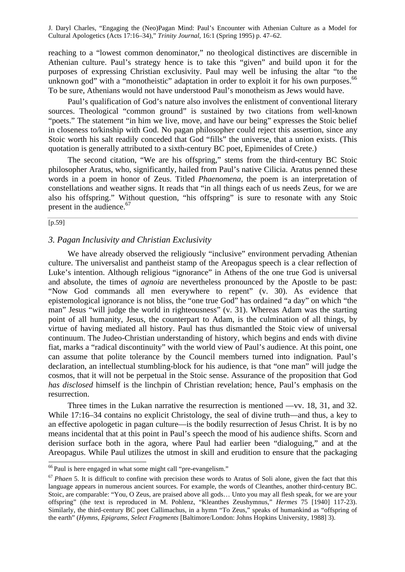reaching to a "lowest common denominator," no theological distinctives are discernible in Athenian culture. Paul's strategy hence is to take this "given" and build upon it for the purposes of expressing Christian exclusivity. Paul may well be infusing the altar "to the unknown god" with a "monotheistic" adaptation in order to exploit it for his own purposes.<sup>66</sup> To be sure, Athenians would not have understood Paul's monotheism as Jews would have.

Paul's qualification of God's nature also involves the enlistment of conventional literary sources. Theological "common ground" is sustained by two citations from well-known "poets." The statement "in him we live, move, and have our being" expresses the Stoic belief in closeness to/kinship with God. No pagan philosopher could reject this assertion, since any Stoic worth his salt readily conceded that God "fills" the universe, that a union exists. (This quotation is generally attributed to a sixth-century BC poet, Epimenides of Crete.)

The second citation, "We are his offspring," stems from the third-century BC Stoic philosopher Aratus, who, significantly, hailed from Paul's native Cilicia. Aratus penned these words in a poem in honor of Zeus. Titled *Phaenomena,* the poem is an interpretation of constellations and weather signs. It reads that "in all things each of us needs Zeus, for we are also his offspring." Without question, "his offspring" is sure to resonate with any Stoic present in the audience.<sup>67</sup>

#### [p.59]

l

### *3. Pagan Inclusivity and Christian Exclusivity*

We have already observed the religiously "inclusive" environment pervading Athenian culture. The universalist and pantheist stamp of the Areopagus speech is a clear reflection of Luke's intention. Although religious "ignorance" in Athens of the one true God is universal and absolute, the times of *agnoia* are nevertheless pronounced by the Apostle to be past: "Now God commands all men everywhere to repent" (v. 30). As evidence that epistemological ignorance is not bliss, the "one true God" has ordained "a day" on which "the man" Jesus "will judge the world in righteousness" (v. 31). Whereas Adam was the starting point of all humanity, Jesus, the counterpart to Adam, is the culmination of all things, by virtue of having mediated all history. Paul has thus dismantled the Stoic view of universal continuum. The Judeo-Christian understanding of history, which begins and ends with divine fiat, marks a "radical discontinuity" with the world view of Paul's audience. At this point, one can assume that polite tolerance by the Council members turned into indignation. Paul's declaration, an intellectual stumbling-block for his audience, is that "one man" will judge the cosmos, that it will not be perpetual in the Stoic sense. Assurance of the proposition that God *has disclosed* himself is the linchpin of Christian revelation; hence, Paul's emphasis on the resurrection.

Three times in the Lukan narrative the resurrection is mentioned —vv. 18, 31, and 32. While 17:16–34 contains no explicit Christology, the seal of divine truth—and thus, a key to an effective apologetic in pagan culture—is the bodily resurrection of Jesus Christ. It is by no means incidental that at this point in Paul's speech the mood of his audience shifts. Scorn and derision surface both in the agora, where Paul had earlier been "dialoguing," and at the Areopagus. While Paul utilizes the utmost in skill and erudition to ensure that the packaging

 $66$  Paul is here engaged in what some might call "pre-evangelism."

<sup>67</sup>*Phaen* 5. It is difficult to confine with precision these words to Aratus of Soli alone, given the fact that this language appears in numerous ancient sources. For example, the words of Cleanthes, another third-century BC. Stoic, are comparable: "You, O Zeus, are praised above all gods… Unto you may all flesh speak, for we are your offspring" (the text is reproduced in M. Pohlenz, "Kleanthes Zeushymnus," *Hermes* 75 [1940] 117-23). Similarly, the third-century BC poet Callimachus, in a hymn "To Zeus," speaks of humankind as "offspring of the earth" (*Hymns, Epigrams, Select Fragments* [Baltimore/London: Johns Hopkins University, 1988] 3).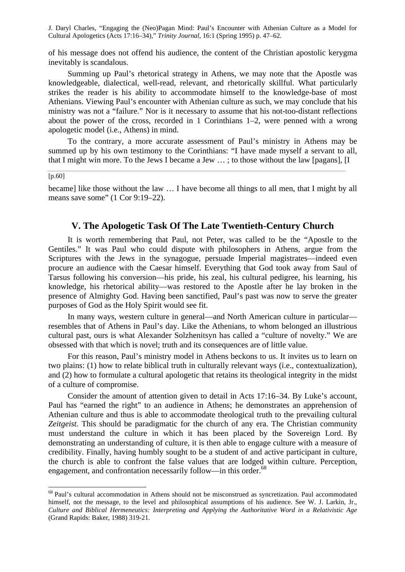of his message does not offend his audience, the content of the Christian apostolic kerygma inevitably is scandalous.

Summing up Paul's rhetorical strategy in Athens, we may note that the Apostle was knowledgeable, dialectical, well-read, relevant, and rhetorically skillful. What particularly strikes the reader is his ability to accommodate himself to the knowledge-base of most Athenians. Viewing Paul's encounter with Athenian culture as such, we may conclude that his ministry was not a "failure." Nor is it necessary to assume that his not-too-distant reflections about the power of the cross, recorded in 1 Corinthians 1–2, were penned with a wrong apologetic model (i.e., Athens) in mind.

To the contrary, a more accurate assessment of Paul's ministry in Athens may be summed up by his own testimony to the Corinthians: "I have made myself a servant to all, that I might win more. To the Jews I became a Jew … ; to those without the law [pagans], [I

[p.60]

l

became] like those without the law … I have become all things to all men, that I might by all means save some" (1 Cor 9:19–22).

### **V. The Apologetic Task Of The Late Twentieth-Century Church**

It is worth remembering that Paul, not Peter, was called to be the "Apostle to the Gentiles." It was Paul who could dispute with philosophers in Athens, argue from the Scriptures with the Jews in the synagogue, persuade Imperial magistrates—indeed even procure an audience with the Caesar himself. Everything that God took away from Saul of Tarsus following his conversion—his pride, his zeal, his cultural pedigree, his learning, his knowledge, his rhetorical ability—was restored to the Apostle after he lay broken in the presence of Almighty God. Having been sanctified, Paul's past was now to serve the greater purposes of God as the Holy Spirit would see fit.

In many ways, western culture in general—and North American culture in particular resembles that of Athens in Paul's day. Like the Athenians, to whom belonged an illustrious cultural past, ours is what Alexander Solzhenitsyn has called a "culture of novelty." We are obsessed with that which is novel; truth and its consequences are of little value.

For this reason, Paul's ministry model in Athens beckons to us. It invites us to learn on two plains: (1) how to relate biblical truth in culturally relevant ways (i.e., contextualization), and (2) how to formulate a cultural apologetic that retains its theological integrity in the midst of a culture of compromise.

Consider the amount of attention given to detail in Acts 17:16–34. By Luke's account, Paul has "earned the right" to an audience in Athens; he demonstrates an apprehension of Athenian culture and thus is able to accommodate theological truth to the prevailing cultural *Zeitgeist.* This should be paradigmatic for the church of any era. The Christian community must understand the culture in which it has been placed by the Sovereign Lord. By demonstrating an understanding of culture, it is then able to engage culture with a measure of credibility. Finally, having humbly sought to be a student of and active participant in culture, the church is able to confront the false values that are lodged within culture. Perception, engagement, and confrontation necessarily follow—in this order.<sup>68</sup>

<sup>&</sup>lt;sup>68</sup> Paul's cultural accommodation in Athens should not be misconstrued as syncretization. Paul accommodated himself, not the message, to the level and philosophical assumptions of his audience. See W. J. Larkin, Jr., *Culture and Biblical Hermeneutics: Interpreting and Applying the Authoritative Word in a Relativistic Age* (Grand Rapids: Baker, 1988) 319-21.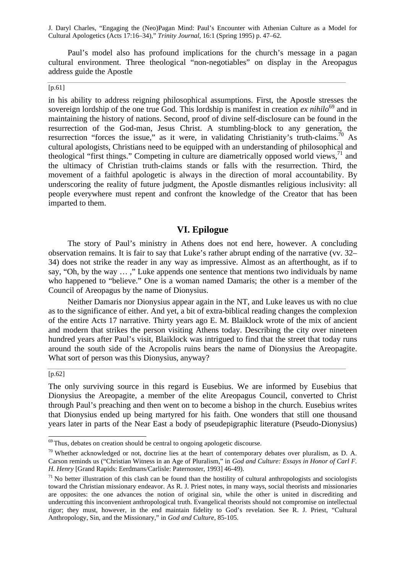Paul's model also has profound implications for the church's message in a pagan cultural environment. Three theological "non-negotiables" on display in the Areopagus address guide the Apostle

### $[p.61]$

in his ability to address reigning philosophical assumptions. First, the Apostle stresses the sovereign lordship of the one true God. This lordship is manifest in creation  $ex\ nihilo^{69}$  and in maintaining the history of nations. Second, proof of divine self-disclosure can be found in the resurrection of the God-man, Jesus Christ. A stumbling-block to any generation, the resurrection "forces the issue," as it were, in validating Christianity's truth-claims.<sup>70</sup> As cultural apologists, Christians need to be equipped with an understanding of philosophical and theological "first things." Competing in culture are diametrically opposed world views, $1$  and the ultimacy of Christian truth-claims stands or falls with the resurrection. Third, the movement of a faithful apologetic is always in the direction of moral accountability. By underscoring the reality of future judgment, the Apostle dismantles religious inclusivity: all people everywhere must repent and confront the knowledge of the Creator that has been imparted to them.

### **VI. Epilogue**

The story of Paul's ministry in Athens does not end here, however. A concluding observation remains. It is fair to say that Luke's rather abrupt ending of the narrative (vv. 32– 34) does not strike the reader in any way as impressive. Almost as an afterthought, as if to say, "Oh, by the way … ," Luke appends one sentence that mentions two individuals by name who happened to "believe." One is a woman named Damaris; the other is a member of the Council of Areopagus by the name of Dionysius.

Neither Damaris nor Dionysius appear again in the NT, and Luke leaves us with no clue as to the significance of either. And yet, a bit of extra-biblical reading changes the complexion of the entire Acts 17 narrative. Thirty years ago E. M. Blaiklock wrote of the mix of ancient and modern that strikes the person visiting Athens today. Describing the city over nineteen hundred years after Paul's visit, Blaiklock was intrigued to find that the street that today runs around the south side of the Acropolis ruins bears the name of Dionysius the Areopagite. What sort of person was this Dionysius, anyway?

#### [p.62]

l

The only surviving source in this regard is Eusebius. We are informed by Eusebius that Dionysius the Areopagite, a member of the elite Areopagus Council, converted to Christ through Paul's preaching and then went on to become a bishop in the church. Eusebius writes that Dionysius ended up being martyred for his faith. One wonders that still one thousand years later in parts of the Near East a body of pseudepigraphic literature (Pseudo-Dionysius)

 $69$  Thus, debates on creation should be central to ongoing apologetic discourse.

 $70$  Whether acknowledged or not, doctrine lies at the heart of contemporary debates over pluralism, as D. A. Carson reminds us ("Christian Witness in an Age of Pluralism," in *God and Culture: Essays in Honor of Carl F. H. Henry* [Grand Rapids: Eerdmans/Carlisle: Paternoster, 1993] 46-49).

 $<sup>71</sup>$ No better illustration of this clash can be found than the hostility of cultural anthropologists and sociologists</sup> toward the Christian missionary endeavor. As R. J. Priest notes, in many ways, social theorists and missionaries are opposites: the one advances the notion of original sin, while the other is united in discrediting and undercutting this inconvenient anthropological truth. Evangelical theorists should not compromise on intellectual rigor; they must, however, in the end maintain fidelity to God's revelation. See R. J. Priest, "Cultural Anthropology, Sin, and the Missionary," in *God and Culture,* 85-105.